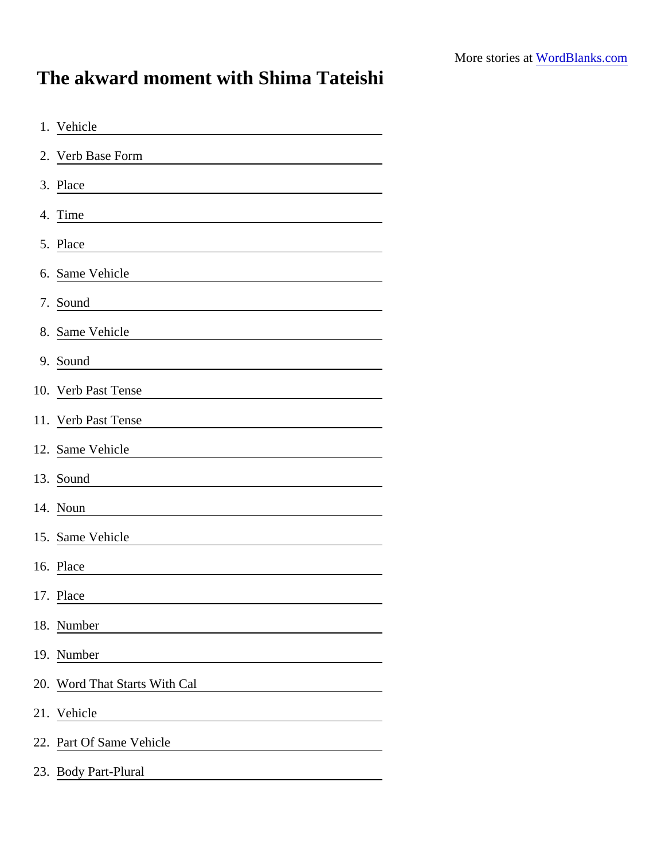## The akward moment with Shima Tateishi

| 1. Vehicle                                                                                                                        |
|-----------------------------------------------------------------------------------------------------------------------------------|
| 2. Verb Base Form                                                                                                                 |
| 3. Place                                                                                                                          |
| 4. Time                                                                                                                           |
| 5. Place                                                                                                                          |
| 6. Same Vehicle                                                                                                                   |
| 7. Sound                                                                                                                          |
| 8. Same Vehicle                                                                                                                   |
| 9. Sound<br><u> 1989 - John Stone</u>                                                                                             |
| 10. Verb Past Tense                                                                                                               |
| 11. Verb Past Tense                                                                                                               |
| 12. Same Vehicle                                                                                                                  |
| 13. Sound<br><u> 1980 - Jan Stein Stein Stein Stein Stein Stein Stein Stein Stein Stein Stein Stein Stein Stein Stein Stein S</u> |
| 14. Noun                                                                                                                          |
| 15. Same Vehicle                                                                                                                  |
| 16. Place                                                                                                                         |
| 17. Place                                                                                                                         |
| 18. Number                                                                                                                        |
| 19. Number                                                                                                                        |
| 20. Word That Starts With Cal                                                                                                     |
| 21. Vehicle                                                                                                                       |
| 22. Part Of Same Vehicle                                                                                                          |
| 23. Body Part-Plural                                                                                                              |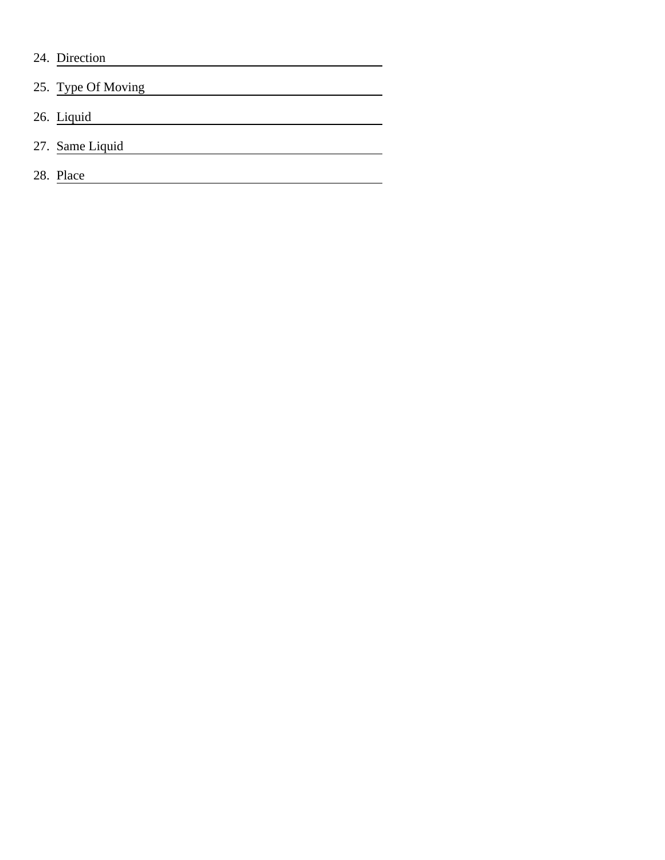| 24. | Direction |
|-----|-----------|
|     |           |

25. Type Of Moving 26. Liquid 27. Same Liquid 28. Place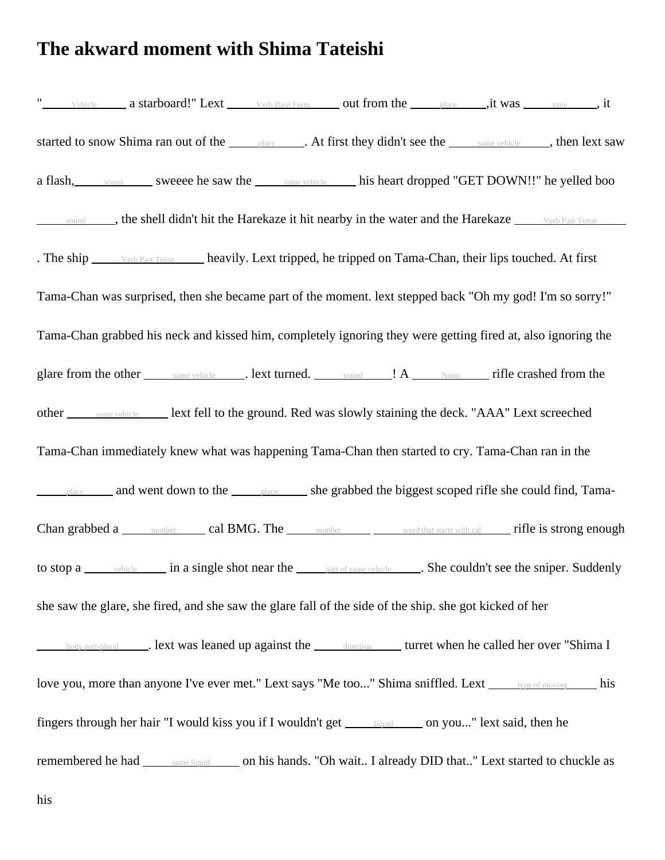## **The akward moment with Shima Tateishi**

" Vehicle a starboard!" Lext Verb Base Form out from the place , it was time , it started to snow Shima ran out of the place . At first they didn't see the same vehicle , then lext saw a flash, sound sweeee he saw the same vehicle his heart dropped "GET DOWN!!" he yelled boo sound , the shell didn't hit the Harekaze it hit nearby in the water and the Harekaze Verb Past Tense . The ship  $V_{\text{erb} \text{ Past Tense}}$  heavily. Lext tripped, he tripped on Tama-Chan, their lips touched. At first Tama-Chan was surprised, then she became part of the moment. lext stepped back "Oh my god! I'm so sorry!" Tama-Chan grabbed his neck and kissed him, completely ignoring they were getting fired at, also ignoring the glare from the other same vehicle . lext turned. Sound ! A Noun rifle crashed from the other same vehicle lext fell to the ground. Red was slowly staining the deck. "AAA" Lext screeched Tama-Chan immediately knew what was happening Tama-Chan then started to cry. Tama-Chan ran in the place and went down to the place she grabbed the biggest scoped rifle she could find. Tama-Chan grabbed  $a$  number cal BMG. The number word that starts with cal rifle is strong enough to stop a vehicle in a single shot near the part of same vehicle . She couldn't see the sniper. Suddenly she saw the glare, she fired, and she saw the glare fall of the side of the ship. she got kicked of her body part-plural **.** lext was leaned up against the direction **direction** turret when he called her over "Shima I love you, more than anyone I've ever met." Lext says "Me too..." Shima sniffled. Lext we of moving his fingers through her hair "I would kiss you if I wouldn't get liquid on you..." lext said, then he remembered he had same liquid on his hands. "Oh wait.. I already DID that.." Lext started to chuckle as